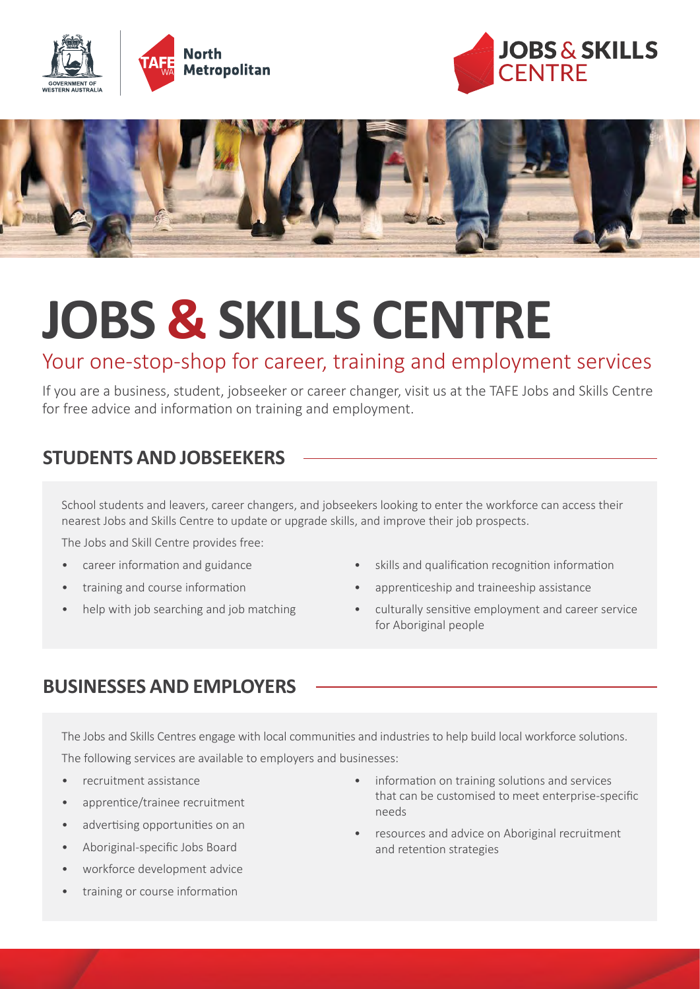





# **JOBS & SKILLS CENTRE**

# Your one-stop-shop for career, training and employment services

If you are a business, student, jobseeker or career changer, visit us at the TAFE Jobs and Skills Centre for free advice and information on training and employment.

## **STUDENTS AND JOBSEEKERS**

School students and leavers, career changers, and jobseekers looking to enter the workforce can access their nearest Jobs and Skills Centre to update or upgrade skills, and improve their job prospects.

The Jobs and Skill Centre provides free:

- career information and guidance
- training and course information
- help with job searching and job matching
- skills and qualification recognition information
- apprenticeship and traineeship assistance
- culturally sensitive employment and career service for Aboriginal people

#### **BUSINESSES AND EMPLOYERS**

The Jobs and Skills Centres engage with local communities and industries to help build local workforce solutions. The following services are available to employers and businesses:

- recruitment assistance
- apprentice/trainee recruitment
- advertising opportunities on an
- Aboriginal-specific Jobs Board
- workforce development advice
- training or course information
- information on training solutions and services that can be customised to meet enterprise-specific needs
- resources and advice on Aboriginal recruitment and retention strategies